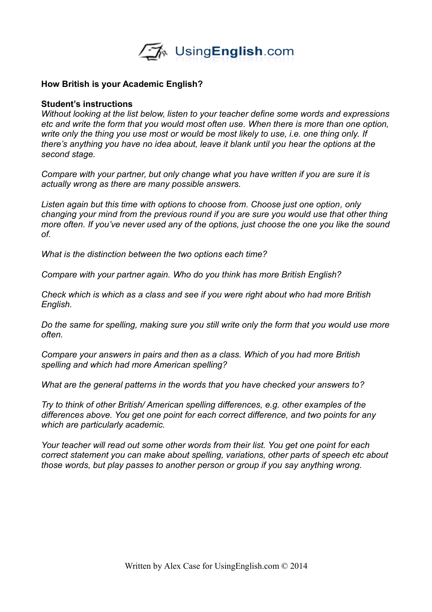

#### **How British is your Academic English?**

#### **Student's instructions**

*Without looking at the list below, listen to your teacher define some words and expressions etc and write the form that you would most often use. When there is more than one option, write only the thing you use most or would be most likely to use, i.e. one thing only. If there's anything you have no idea about, leave it blank until you hear the options at the second stage.*

*Compare with your partner, but only change what you have written if you are sure it is actually wrong as there are many possible answers.* 

*Listen again but this time with options to choose from. Choose just one option, only changing your mind from the previous round if you are sure you would use that other thing more often. If you've never used any of the options, just choose the one you like the sound of.*

*What is the distinction between the two options each time?*

*Compare with your partner again. Who do you think has more British English?* 

*Check which is which as a class and see if you were right about who had more British English.* 

*Do the same for spelling, making sure you still write only the form that you would use more often.* 

*Compare your answers in pairs and then as a class. Which of you had more British spelling and which had more American spelling?*

*What are the general patterns in the words that you have checked your answers to?*

*Try to think of other British/ American spelling differences, e.g. other examples of the differences above. You get one point for each correct difference, and two points for any which are particularly academic.*

*Your teacher will read out some other words from their list. You get one point for each correct statement you can make about spelling, variations, other parts of speech etc about those words, but play passes to another person or group if you say anything wrong.*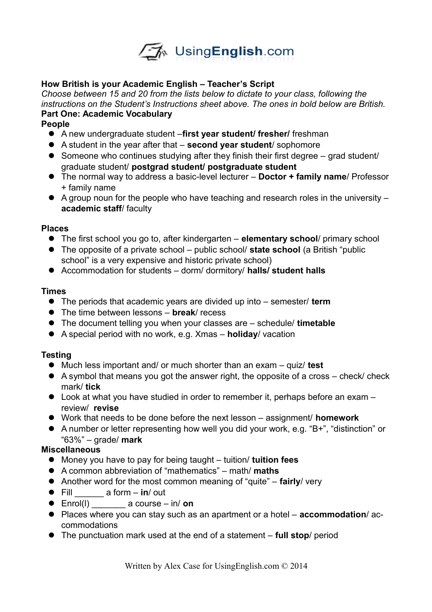

## **How British is your Academic English – Teacher's Script**

*Choose between 15 and 20 from the lists below to dictate to your class, following the instructions on the Student's Instructions sheet above. The ones in bold below are British.*  **Part One: Academic Vocabulary**

## **People**

- A new undergraduate student –**first year student/ fresher/** freshman
- A student in the year after that **second year student**/ sophomore
- Someone who continues studying after they finish their first degree grad student/ graduate student/ **postgrad student/ postgraduate student**
- The normal way to address a basic-level lecturer **Doctor + family name**/ Professor + family name
- $\bullet$  A group noun for the people who have teaching and research roles in the university **academic staff**/ faculty

## **Places**

- The first school you go to, after kindergarten **elementary school**/ primary school
- The opposite of a private school public school/ **state school** (a British "public school" is a very expensive and historic private school)
- Accommodation for students dorm/ dormitory/ **halls/ student halls**

## **Times**

- The periods that academic years are divided up into semester/ **term**
- The time between lessons **break**/ recess
- The document telling you when your classes are schedule/ **timetable**
- A special period with no work, e.g. Xmas **holiday**/ vacation

# **Testing**

- Much less important and/ or much shorter than an exam quiz/ **test**
- A symbol that means you got the answer right, the opposite of a cross check/ check mark/ **tick**
- Look at what you have studied in order to remember it, perhaps before an exam review/ **revise**
- Work that needs to be done before the next lesson assignment/ **homework**
- A number or letter representing how well you did your work, e.g. "B+", "distinction" or "63%" – grade/ **mark**

# **Miscellaneous**

- Money you have to pay for being taught tuition/ **tuition fees**
- A common abbreviation of "mathematics" math/ **maths**
- Another word for the most common meaning of "quite" **fairly**/ very
- Fill \_\_\_\_\_\_ a form **in**/ out
- Enrol(l) \_\_\_\_\_\_\_ a course in/ **on**
- Places where you can stay such as an apartment or a hotel **accommodation**/ accommodations
- The punctuation mark used at the end of a statement **full stop**/ period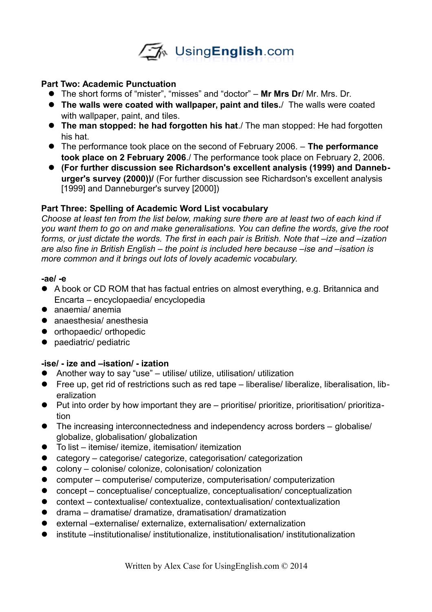

#### **Part Two: Academic Punctuation**

- The short forms of "mister", "misses" and "doctor" **Mr Mrs Dr**/ Mr. Mrs. Dr.
- **The walls were coated with wallpaper, paint and tiles.**/ The walls were coated with wallpaper, paint, and tiles.
- **The man stopped: he had forgotten his hat**./ The man stopped: He had forgotten his hat.
- The performance took place on the second of February 2006. **The performance took place on 2 February 2006**./ The performance took place on February 2, 2006.
- **(For further discussion see Richardson's excellent analysis (1999) and Danneburger's survey (2000))/** (For further discussion see Richardson's excellent analysis [1999] and Danneburger's survey [2000])

### **Part Three: Spelling of Academic Word List vocabulary**

*Choose at least ten from the list below, making sure there are at least two of each kind if you want them to go on and make generalisations. You can define the words, give the root forms, or just dictate the words. The first in each pair is British. Note that –ize and –ization are also fine in British English – the point is included here because –ise and –isation is more common and it brings out lots of lovely academic vocabulary.* 

#### **-ae/ -e**

- A book or CD ROM that has factual entries on almost everything, e.g. Britannica and Encarta – encyclopaedia/ encyclopedia
- anaemia/ anemia
- anaesthesia/ anesthesia
- orthopaedic/ orthopedic
- paediatric/ pediatric

## **-ise/ - ize and –isation/ - ization**

- Another way to say "use" utilise/ utilize, utilisation/ utilization
- Free up, get rid of restrictions such as red tape liberalise/ liberalize, liberalisation, liberalization
- Put into order by how important they are prioritise/ prioritize, prioritisation/ prioritization
- The increasing interconnectedness and independency across borders globalise/ globalize, globalisation/ globalization
- To list itemise/ itemize, itemisation/ itemization
- category categorise/ categorize, categorisation/ categorization
- colony colonise/ colonize, colonisation/ colonization
- computer computerise/ computerize, computerisation/ computerization
- concept conceptualise/ conceptualize, conceptualisation/ conceptualization
- context contextualise/ contextualize, contextualisation/ contextualization
- drama dramatise/ dramatize, dramatisation/ dramatization
- external –externalise/ externalize, externalisation/ externalization
- institute –institutionalise/ institutionalize, institutionalisation/ institutionalization